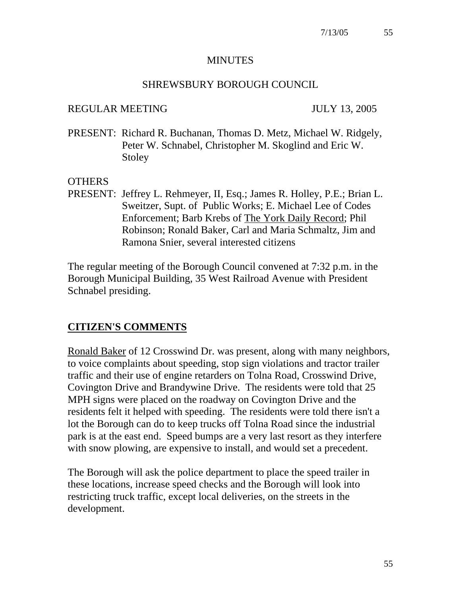#### **MINUTES**

#### SHREWSBURY BOROUGH COUNCIL

#### REGULAR MEETING JULY 13, 2005

PRESENT: Richard R. Buchanan, Thomas D. Metz, Michael W. Ridgely, Peter W. Schnabel, Christopher M. Skoglind and Eric W. Stoley

#### **OTHERS**

PRESENT: Jeffrey L. Rehmeyer, II, Esq.; James R. Holley, P.E.; Brian L. Sweitzer, Supt. of Public Works; E. Michael Lee of Codes Enforcement; Barb Krebs of The York Daily Record; Phil Robinson; Ronald Baker, Carl and Maria Schmaltz, Jim and Ramona Snier, several interested citizens

The regular meeting of the Borough Council convened at 7:32 p.m. in the Borough Municipal Building, 35 West Railroad Avenue with President Schnabel presiding.

#### **CITIZEN'S COMMENTS**

Ronald Baker of 12 Crosswind Dr. was present, along with many neighbors, to voice complaints about speeding, stop sign violations and tractor trailer traffic and their use of engine retarders on Tolna Road, Crosswind Drive, Covington Drive and Brandywine Drive. The residents were told that 25 MPH signs were placed on the roadway on Covington Drive and the residents felt it helped with speeding. The residents were told there isn't a lot the Borough can do to keep trucks off Tolna Road since the industrial park is at the east end. Speed bumps are a very last resort as they interfere with snow plowing, are expensive to install, and would set a precedent.

The Borough will ask the police department to place the speed trailer in these locations, increase speed checks and the Borough will look into restricting truck traffic, except local deliveries, on the streets in the development.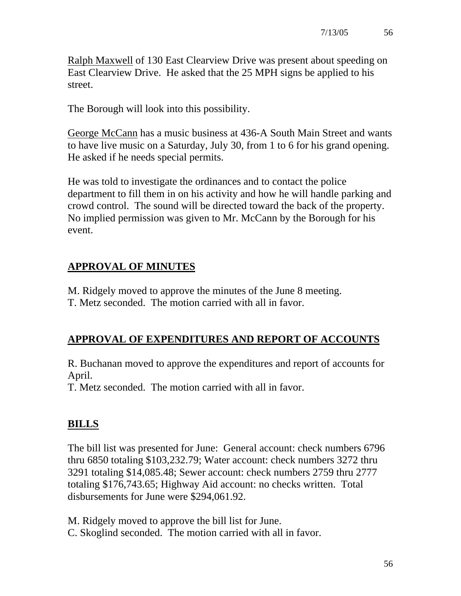Ralph Maxwell of 130 East Clearview Drive was present about speeding on East Clearview Drive. He asked that the 25 MPH signs be applied to his street.

The Borough will look into this possibility.

George McCann has a music business at 436-A South Main Street and wants to have live music on a Saturday, July 30, from 1 to 6 for his grand opening. He asked if he needs special permits.

He was told to investigate the ordinances and to contact the police department to fill them in on his activity and how he will handle parking and crowd control. The sound will be directed toward the back of the property. No implied permission was given to Mr. McCann by the Borough for his event.

# **APPROVAL OF MINUTES**

M. Ridgely moved to approve the minutes of the June 8 meeting.

T. Metz seconded. The motion carried with all in favor.

# **APPROVAL OF EXPENDITURES AND REPORT OF ACCOUNTS**

R. Buchanan moved to approve the expenditures and report of accounts for April.

T. Metz seconded. The motion carried with all in favor.

# **BILLS**

The bill list was presented for June: General account: check numbers 6796 thru 6850 totaling \$103,232.79; Water account: check numbers 3272 thru 3291 totaling \$14,085.48; Sewer account: check numbers 2759 thru 2777 totaling \$176,743.65; Highway Aid account: no checks written. Total disbursements for June were \$294,061.92.

M. Ridgely moved to approve the bill list for June. C. Skoglind seconded. The motion carried with all in favor.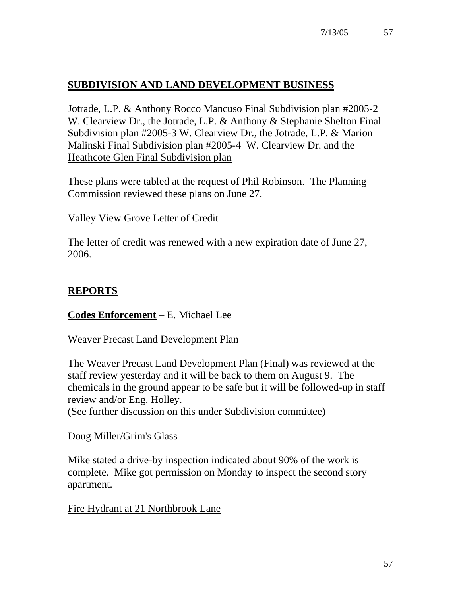# **SUBDIVISION AND LAND DEVELOPMENT BUSINESS**

Jotrade, L.P. & Anthony Rocco Mancuso Final Subdivision plan #2005-2 W. Clearview Dr., the Jotrade, L.P. & Anthony & Stephanie Shelton Final Subdivision plan #2005-3 W. Clearview Dr., the Jotrade, L.P. & Marion Malinski Final Subdivision plan #2005-4 W. Clearview Dr. and the Heathcote Glen Final Subdivision plan

These plans were tabled at the request of Phil Robinson. The Planning Commission reviewed these plans on June 27.

Valley View Grove Letter of Credit

The letter of credit was renewed with a new expiration date of June 27, 2006.

## **REPORTS**

#### **Codes Enforcement** – E. Michael Lee

#### Weaver Precast Land Development Plan

The Weaver Precast Land Development Plan (Final) was reviewed at the staff review yesterday and it will be back to them on August 9. The chemicals in the ground appear to be safe but it will be followed-up in staff review and/or Eng. Holley.

(See further discussion on this under Subdivision committee)

#### Doug Miller/Grim's Glass

Mike stated a drive-by inspection indicated about 90% of the work is complete. Mike got permission on Monday to inspect the second story apartment.

Fire Hydrant at 21 Northbrook Lane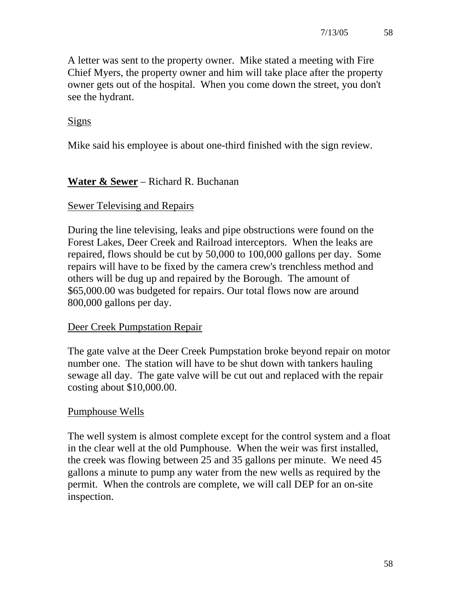A letter was sent to the property owner. Mike stated a meeting with Fire Chief Myers, the property owner and him will take place after the property owner gets out of the hospital. When you come down the street, you don't see the hydrant.

### **Signs**

Mike said his employee is about one-third finished with the sign review.

## **Water & Sewer** – Richard R. Buchanan

### Sewer Televising and Repairs

During the line televising, leaks and pipe obstructions were found on the Forest Lakes, Deer Creek and Railroad interceptors. When the leaks are repaired, flows should be cut by 50,000 to 100,000 gallons per day. Some repairs will have to be fixed by the camera crew's trenchless method and others will be dug up and repaired by the Borough. The amount of \$65,000.00 was budgeted for repairs. Our total flows now are around 800,000 gallons per day.

#### Deer Creek Pumpstation Repair

The gate valve at the Deer Creek Pumpstation broke beyond repair on motor number one. The station will have to be shut down with tankers hauling sewage all day. The gate valve will be cut out and replaced with the repair costing about \$10,000.00.

#### Pumphouse Wells

The well system is almost complete except for the control system and a float in the clear well at the old Pumphouse. When the weir was first installed, the creek was flowing between 25 and 35 gallons per minute. We need 45 gallons a minute to pump any water from the new wells as required by the permit. When the controls are complete, we will call DEP for an on-site inspection.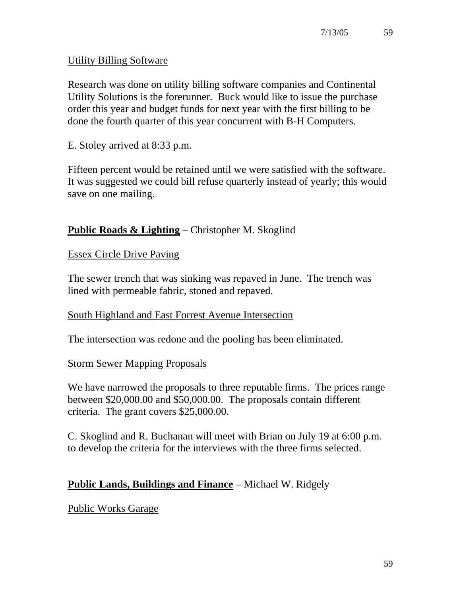### Utility Billing Software

Research was done on utility billing software companies and Continental Utility Solutions is the forerunner. Buck would like to issue the purchase order this year and budget funds for next year with the first billing to be done the fourth quarter of this year concurrent with B-H Computers.

E. Stoley arrived at 8:33 p.m.

Fifteen percent would be retained until we were satisfied with the software. It was suggested we could bill refuse quarterly instead of yearly; this would save on one mailing.

### **Public Roads & Lighting** – Christopher M. Skoglind

Essex Circle Drive Paving

The sewer trench that was sinking was repaved in June. The trench was lined with permeable fabric, stoned and repaved.

#### South Highland and East Forrest Avenue Intersection

The intersection was redone and the pooling has been eliminated.

#### Storm Sewer Mapping Proposals

We have narrowed the proposals to three reputable firms. The prices range between \$20,000.00 and \$50,000.00. The proposals contain different criteria. The grant covers \$25,000.00.

C. Skoglind and R. Buchanan will meet with Brian on July 19 at 6:00 p.m. to develop the criteria for the interviews with the three firms selected.

## **Public Lands, Buildings and Finance** – Michael W. Ridgely

Public Works Garage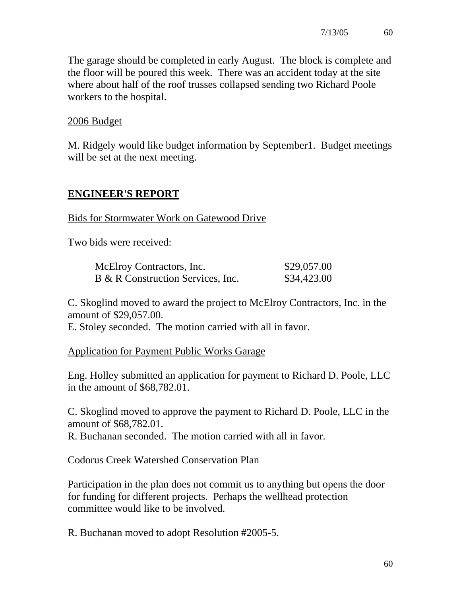The garage should be completed in early August. The block is complete and the floor will be poured this week. There was an accident today at the site where about half of the roof trusses collapsed sending two Richard Poole workers to the hospital.

### 2006 Budget

M. Ridgely would like budget information by September1. Budget meetings will be set at the next meeting.

## **ENGINEER'S REPORT**

Bids for Stormwater Work on Gatewood Drive

Two bids were received:

| McElroy Contractors, Inc.         | \$29,057.00 |
|-----------------------------------|-------------|
| B & R Construction Services, Inc. | \$34,423.00 |

C. Skoglind moved to award the project to McElroy Contractors, Inc. in the amount of \$29,057.00.

E. Stoley seconded. The motion carried with all in favor.

Application for Payment Public Works Garage

Eng. Holley submitted an application for payment to Richard D. Poole, LLC in the amount of \$68,782.01.

C. Skoglind moved to approve the payment to Richard D. Poole, LLC in the amount of \$68,782.01.

R. Buchanan seconded. The motion carried with all in favor.

Codorus Creek Watershed Conservation Plan

Participation in the plan does not commit us to anything but opens the door for funding for different projects. Perhaps the wellhead protection committee would like to be involved.

R. Buchanan moved to adopt Resolution #2005-5.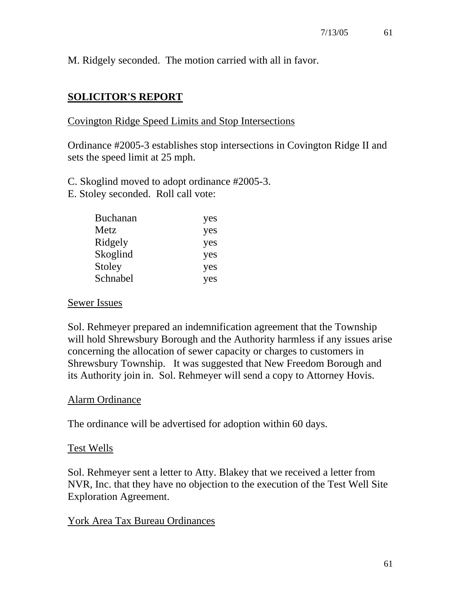M. Ridgely seconded. The motion carried with all in favor.

## **SOLICITOR'S REPORT**

#### Covington Ridge Speed Limits and Stop Intersections

Ordinance #2005-3 establishes stop intersections in Covington Ridge II and sets the speed limit at 25 mph.

C. Skoglind moved to adopt ordinance #2005-3.

E. Stoley seconded. Roll call vote:

| <b>Buchanan</b> | yes |
|-----------------|-----|
| Metz            | yes |
| Ridgely         | yes |
| Skoglind        | yes |
| Stoley          | yes |
| Schnabel        | yes |

#### Sewer Issues

Sol. Rehmeyer prepared an indemnification agreement that the Township will hold Shrewsbury Borough and the Authority harmless if any issues arise concerning the allocation of sewer capacity or charges to customers in Shrewsbury Township. It was suggested that New Freedom Borough and its Authority join in. Sol. Rehmeyer will send a copy to Attorney Hovis.

#### Alarm Ordinance

The ordinance will be advertised for adoption within 60 days.

#### Test Wells

Sol. Rehmeyer sent a letter to Atty. Blakey that we received a letter from NVR, Inc. that they have no objection to the execution of the Test Well Site Exploration Agreement.

#### York Area Tax Bureau Ordinances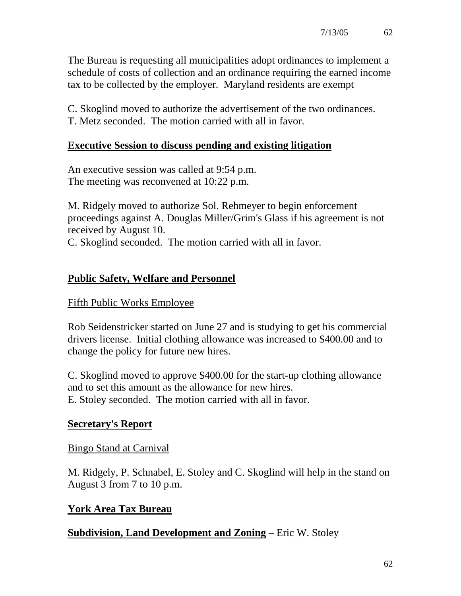The Bureau is requesting all municipalities adopt ordinances to implement a schedule of costs of collection and an ordinance requiring the earned income tax to be collected by the employer. Maryland residents are exempt

C. Skoglind moved to authorize the advertisement of the two ordinances. T. Metz seconded. The motion carried with all in favor.

### **Executive Session to discuss pending and existing litigation**

An executive session was called at 9:54 p.m. The meeting was reconvened at 10:22 p.m.

M. Ridgely moved to authorize Sol. Rehmeyer to begin enforcement proceedings against A. Douglas Miller/Grim's Glass if his agreement is not received by August 10.

C. Skoglind seconded. The motion carried with all in favor.

## **Public Safety, Welfare and Personnel**

#### Fifth Public Works Employee

Rob Seidenstricker started on June 27 and is studying to get his commercial drivers license. Initial clothing allowance was increased to \$400.00 and to change the policy for future new hires.

C. Skoglind moved to approve \$400.00 for the start-up clothing allowance and to set this amount as the allowance for new hires. E. Stoley seconded. The motion carried with all in favor.

## **Secretary's Report**

#### Bingo Stand at Carnival

M. Ridgely, P. Schnabel, E. Stoley and C. Skoglind will help in the stand on August 3 from 7 to 10 p.m.

#### **York Area Tax Bureau**

#### **Subdivision, Land Development and Zoning** – Eric W. Stoley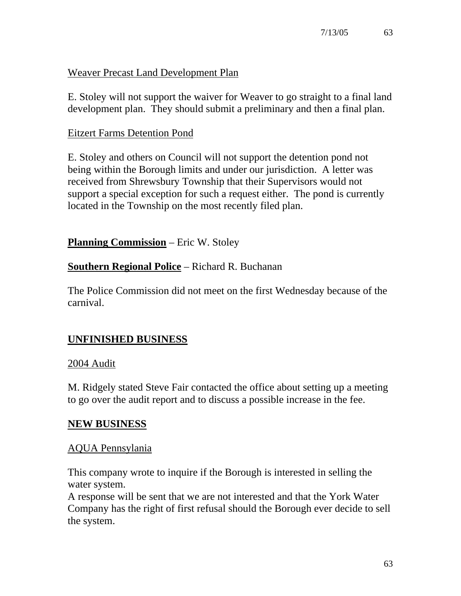### Weaver Precast Land Development Plan

E. Stoley will not support the waiver for Weaver to go straight to a final land development plan. They should submit a preliminary and then a final plan.

#### Eitzert Farms Detention Pond

E. Stoley and others on Council will not support the detention pond not being within the Borough limits and under our jurisdiction. A letter was received from Shrewsbury Township that their Supervisors would not support a special exception for such a request either. The pond is currently located in the Township on the most recently filed plan.

**Planning Commission** – Eric W. Stoley

## **Southern Regional Police** – Richard R. Buchanan

The Police Commission did not meet on the first Wednesday because of the carnival.

## **UNFINISHED BUSINESS**

#### 2004 Audit

M. Ridgely stated Steve Fair contacted the office about setting up a meeting to go over the audit report and to discuss a possible increase in the fee.

#### **NEW BUSINESS**

#### AQUA Pennsylania

This company wrote to inquire if the Borough is interested in selling the water system.

A response will be sent that we are not interested and that the York Water Company has the right of first refusal should the Borough ever decide to sell the system.